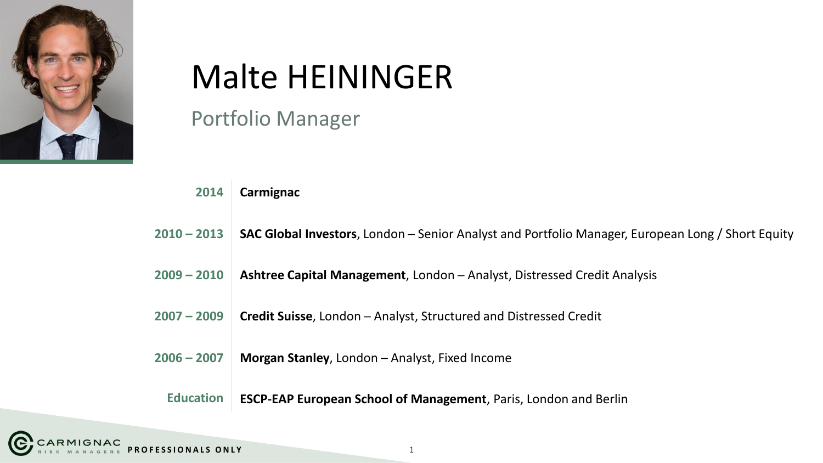

# Malte HEININGER

Portfolio Manager

| 2014             | Carmignac                                                                                                 |
|------------------|-----------------------------------------------------------------------------------------------------------|
| $2010 - 2013$    | <b>SAC Global Investors</b> , London – Senior Analyst and Portfolio Manager, European Long / Short Equity |
| $2009 - 2010$    | Ashtree Capital Management, London - Analyst, Distressed Credit Analysis                                  |
| $2007 - 2009$    | <b>Credit Suisse, London - Analyst, Structured and Distressed Credit</b>                                  |
| $2006 - 2007$    | Morgan Stanley, London - Analyst, Fixed Income                                                            |
| <b>Education</b> | <b>ESCP-EAP European School of Management, Paris, London and Berlin</b>                                   |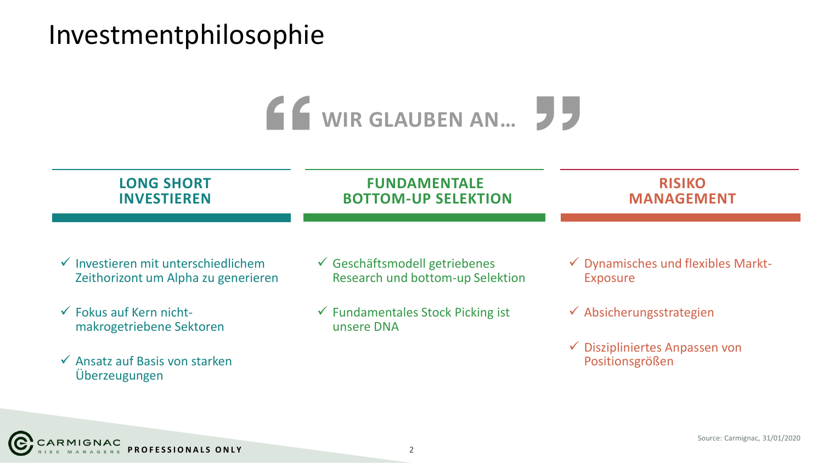### Investmentphilosophie



| <b>LONG SHORT</b>                                              | <b>FUNDAMENTALE</b>                                        | <b>RISIKO</b>                                                |
|----------------------------------------------------------------|------------------------------------------------------------|--------------------------------------------------------------|
| <b>INVESTIEREN</b>                                             | <b>BOTTOM-UP SELEKTION</b>                                 | <b>MANAGEMENT</b>                                            |
| $\checkmark$ Investieren mit unterschiedlichem                 | ✓ Geschäftsmodell getriebenes                              | $\checkmark$ Dynamisches und flexibles Markt-                |
| Zeithorizont um Alpha zu generieren                            | Research und bottom-up Selektion                           | <b>Exposure</b>                                              |
| $\checkmark$ Fokus auf Kern nicht-<br>makrogetriebene Sektoren | $\checkmark$ Fundamentales Stock Picking ist<br>unsere DNA | $\checkmark$ Absicherungsstrategien                          |
| $\checkmark$ Ansatz auf Basis von starken<br>Überzeugungen     |                                                            | $\checkmark$ Diszipliniertes Anpassen von<br>Positionsgrößen |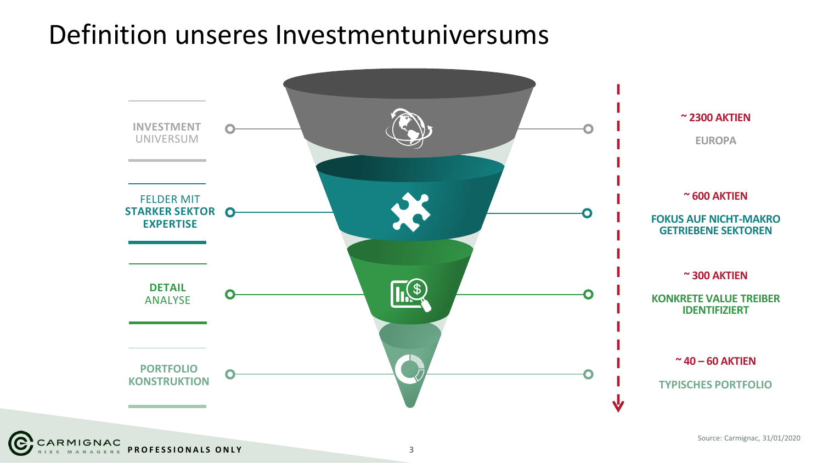### Definition unseres Investmentuniversums

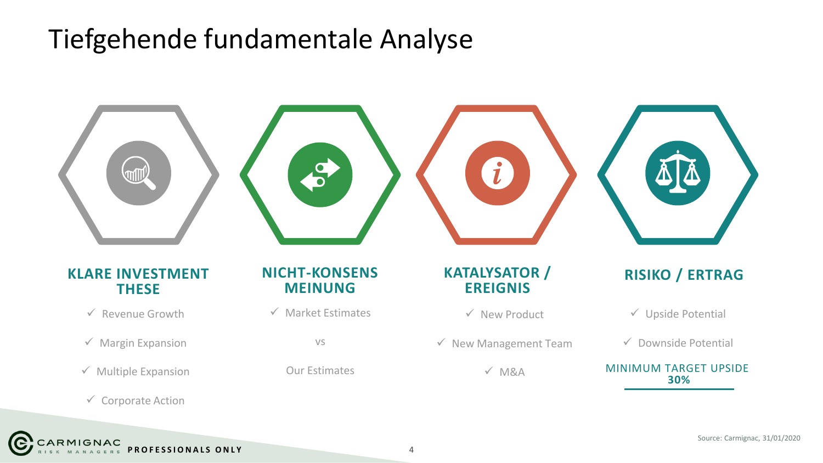### Tiefgehende fundamentale Analyse

CARMIGNAC



**PROFESSIONALS ONLY** 4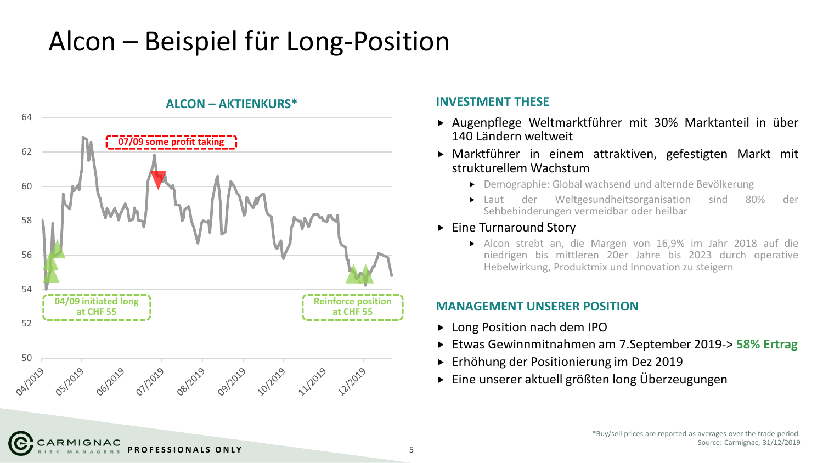## Alcon – Beispiel für Long-Position



ARMIGNAC

- Augenpflege Weltmarktführer mit 30% Marktanteil in über 140 Ländern weltweit
- Marktführer in einem attraktiven, gefestigten Markt mit strukturellem Wachstum
	- Demographie: Global wachsend und alternde Bevölkerung
	- Laut der Weltgesundheitsorganisation sind 80% der Sehbehinderungen vermeidbar oder heilbar
- ► Eine Turnaround Story
	- Alcon strebt an, die Margen von 16,9% im Jahr 2018 auf die niedrigen bis mittleren 20er Jahre bis 2023 durch operative Hebelwirkung, Produktmix und Innovation zu steigern

### **MANAGEMENT UNSERER POSITION**

- ► Long Position nach dem IPO
- Etwas Gewinnmitnahmen am 7.September 2019-> **58% Ertrag**
- Erhöhung der Positionierung im Dez 2019
- Eine unserer aktuell größten long Überzeugungen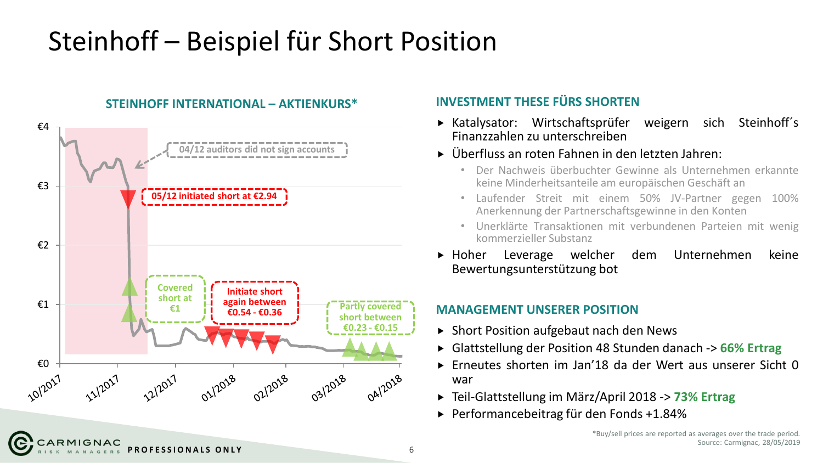## Steinhoff – Beispiel für Short Position



### **INVESTMENT THESE FÜRS SHORTEN**

- Katalysator: Wirtschaftsprüfer weigern sich Steinhoff´s Finanzzahlen zu unterschreiben
- Überfluss an roten Fahnen in den letzten Jahren:
	- Der Nachweis überbuchter Gewinne als Unternehmen erkannte keine Minderheitsanteile am europäischen Geschäft an
	- Laufender Streit mit einem 50% JV-Partner gegen 100% Anerkennung der Partnerschaftsgewinne in den Konten
	- Unerklärte Transaktionen mit verbundenen Parteien mit wenig kommerzieller Substanz
- Hoher Leverage welcher dem Unternehmen keine Bewertungsunterstützung bot

### **MANAGEMENT UNSERER POSITION**

- ▶ Short Position aufgebaut nach den News
- Glattstellung der Position 48 Stunden danach -> **66% Ertrag**
- Erneutes shorten im Jan'18 da der Wert aus unserer Sicht 0 war
- Teil-Glattstellung im März/April 2018 -> **73% Ertrag**
- ▶ Performancebeitrag für den Fonds +1.84%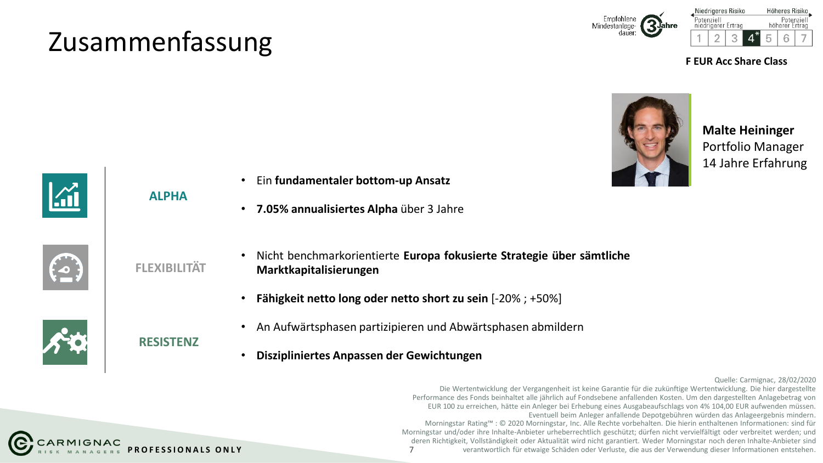## Zusammenfassung





**F EUR Acc Share Class**



**Malte Heininger** Portfolio Manager 14 Jahre Erfahrung



**ALPHA**



**FLEXIBILITÄT**

**RESISTENZ**

- Nicht benchmarkorientierte **Europa fokusierte Strategie über sämtliche Marktkapitalisierungen**
	- **Fähigkeit netto long oder netto short zu sein** [-20% ; +50%]
- An Aufwärtsphasen partizipieren und Abwärtsphasen abmildern
- **Diszipliniertes Anpassen der Gewichtungen**



Die Wertentwicklung der Vergangenheit ist keine Garantie für die zukünftige Wertentwicklung. Die hier dargestellte Performance des Fonds beinhaltet alle jährlich auf Fondsebene anfallenden Kosten. Um den dargestellten Anlagebetrag von EUR 100 zu erreichen, hätte ein Anleger bei Erhebung eines Ausgabeaufschlags von 4% 104,00 EUR aufwenden müssen. Eventuell beim Anleger anfallende Depotgebühren würden das Anlageergebnis mindern. Morningstar Rating™ : © 2020 Morningstar, Inc. Alle Rechte vorbehalten. Die hierin enthaltenen Informationen: sind für Morningstar und/oder ihre Inhalte-Anbieter urheberrechtlich geschützt; dürfen nicht vervielfältigt oder verbreitet werden; und deren Richtigkeit, Vollständigkeit oder Aktualität wird nicht garantiert. Weder Morningstar noch deren Inhalte-Anbieter sind verantwortlich für etwaige Schäden oder Verluste, die aus der Verwendung dieser Informationen entstehen.





CARMIGNAC **PROFESSIONALS ONLY** 7

- Ein **fundamentaler bottom-up Ansatz**
- **7.05% annualisiertes Alpha** über 3 Jahre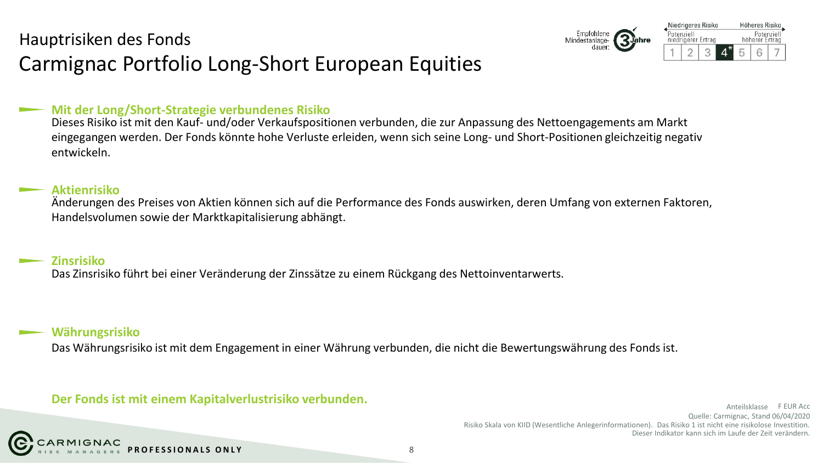### Hauptrisiken des Fonds Carmignac Portfolio Long-Short European Equities



#### **Mit der Long/Short-Strategie verbundenes Risiko**

Dieses Risiko ist mit den Kauf- und/oder Verkaufspositionen verbunden, die zur Anpassung des Nettoengagements am Markt eingegangen werden. Der Fonds könnte hohe Verluste erleiden, wenn sich seine Long- und Short-Positionen gleichzeitig negativ entwickeln.

#### **Aktienrisiko**

Änderungen des Preises von Aktien können sich auf die Performance des Fonds auswirken, deren Umfang von externen Faktoren, Handelsvolumen sowie der Marktkapitalisierung abhängt.

#### **Zinsrisiko**

Das Zinsrisiko führt bei einer Veränderung der Zinssätze zu einem Rückgang des Nettoinventarwerts.

#### **Währungsrisiko**

Das Währungsrisiko ist mit dem Engagement in einer Währung verbunden, die nicht die Bewertungswährung des Fonds ist.

### **Der Fonds ist mit einem Kapitalverlustrisiko verbunden.**

Quelle: Carmignac, Stand 06/04/2020 Risiko Skala von KIID (Wesentliche Anlegerinformationen). Das Risiko 1 ist nicht eine risikolose Investition. Dieser Indikator kann sich im Laufe der Zeit verändern. Anteilsklasse F EUR Acc